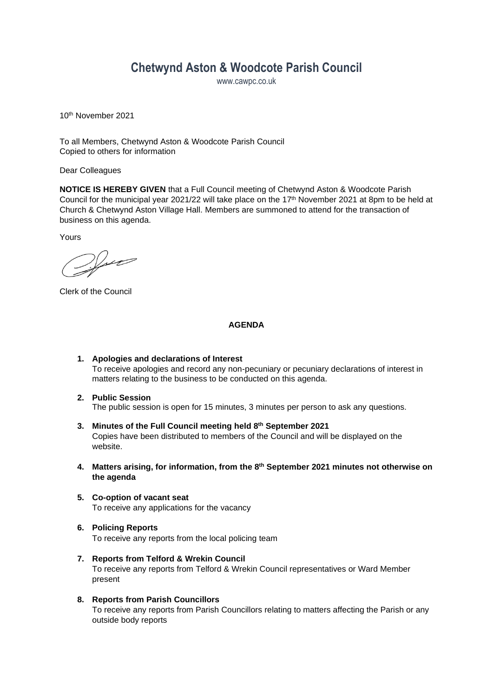# **Chetwynd Aston & Woodcote Parish Council**

www.cawpc.co.uk

10th November 2021

To all Members, Chetwynd Aston & Woodcote Parish Council Copied to others for information

Dear Colleagues

**NOTICE IS HEREBY GIVEN** that a Full Council meeting of Chetwynd Aston & Woodcote Parish Council for the municipal year 2021/22 will take place on the  $17<sup>th</sup>$  November 2021 at 8pm to be held at Church & Chetwynd Aston Village Hall. Members are summoned to attend for the transaction of business on this agenda.

Yours

 $\mathcal{V}_{\mathcal{M}}$ 

Clerk of the Council

#### **AGENDA**

- **1. Apologies and declarations of Interest** To receive apologies and record any non-pecuniary or pecuniary declarations of interest in matters relating to the business to be conducted on this agenda.
- **2. Public Session** The public session is open for 15 minutes, 3 minutes per person to ask any questions.
- **3. Minutes of the Full Council meeting held 8 th September 2021** Copies have been distributed to members of the Council and will be displayed on the website.
- **4. Matters arising, for information, from the 8 th September 2021 minutes not otherwise on the agenda**
- **5. Co-option of vacant seat** To receive any applications for the vacancy
- **6. Policing Reports** To receive any reports from the local policing team
- **7. Reports from Telford & Wrekin Council** To receive any reports from Telford & Wrekin Council representatives or Ward Member present
- **8. Reports from Parish Councillors** To receive any reports from Parish Councillors relating to matters affecting the Parish or any outside body reports